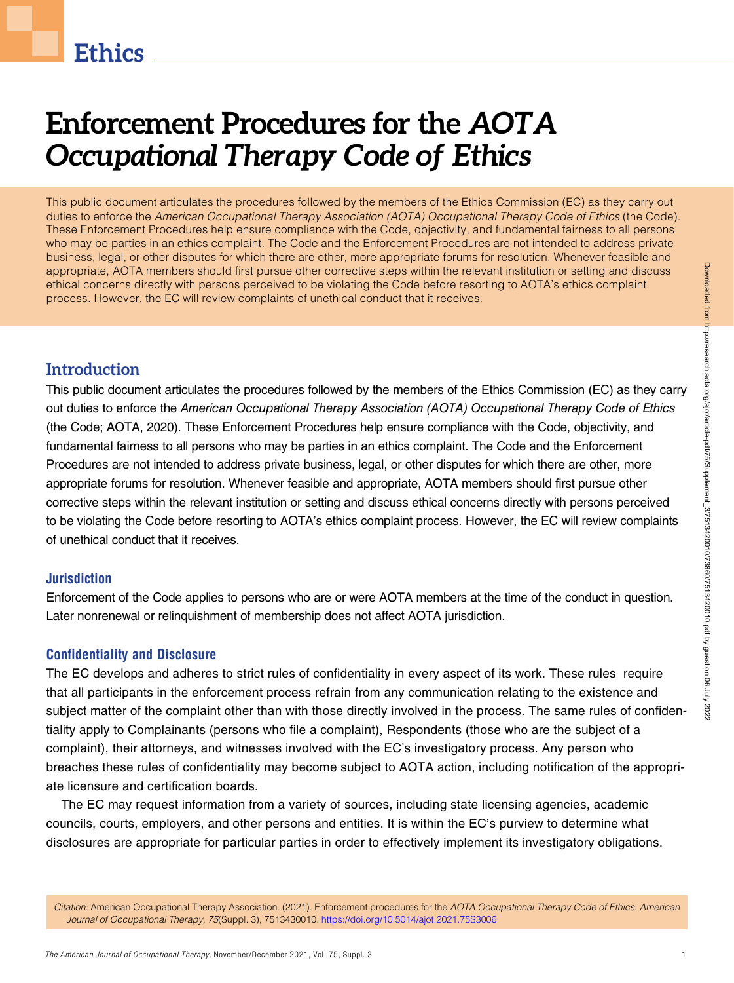# **Ethics**

# Enforcement Procedures for the AOTA Occupational Therapy Code of Ethics

This public document articulates the procedures followed by the members of the Ethics Commission (EC) as they carry out duties to enforce the American Occupational Therapy Association (AOTA) Occupational Therapy Code of Ethics (the Code). These Enforcement Procedures help ensure compliance with the Code, objectivity, and fundamental fairness to all persons who may be parties in an ethics complaint. The Code and the Enforcement Procedures are not intended to address private business, legal, or other disputes for which there are other, more appropriate forums for resolution. Whenever feasible and appropriate, AOTA members should first pursue other corrective steps within the relevant institution or setting and discuss ethical concerns directly with persons perceived to be violating the Code before resorting to AOTA's ethics complaint process. However, the EC will review complaints of unethical conduct that it receives.

# **Introduction**

This public document articulates the procedures followed by the members of the Ethics Commission (EC) as they carry out duties to enforce the American Occupational Therapy Association (AOTA) Occupational Therapy Code of Ethics (the Code; AOTA, 2020). These Enforcement Procedures help ensure compliance with the Code, objectivity, and fundamental fairness to all persons who may be parties in an ethics complaint. The Code and the Enforcement Procedures are not intended to address private business, legal, or other disputes for which there are other, more appropriate forums for resolution. Whenever feasible and appropriate, AOTA members should first pursue other corrective steps within the relevant institution or setting and discuss ethical concerns directly with persons perceived to be violating the Code before resorting to AOTA's ethics complaint process. However, the EC will review complaints of unethical conduct that it receives.

# Jurisdiction

Enforcement of the Code applies to persons who are or were AOTA members at the time of the conduct in question. Later nonrenewal or relinquishment of membership does not affect AOTA jurisdiction.

# Confidentiality and Disclosure

The EC develops and adheres to strict rules of confidentiality in every aspect of its work. These rules require that all participants in the enforcement process refrain from any communication relating to the existence and subject matter of the complaint other than with those directly involved in the process. The same rules of confidentiality apply to Complainants (persons who file a complaint), Respondents (those who are the subject of a complaint), their attorneys, and witnesses involved with the EC's investigatory process. Any person who breaches these rules of confidentiality may become subject to AOTA action, including notification of the appropriate licensure and certification boards.

The EC may request information from a variety of sources, including state licensing agencies, academic councils, courts, employers, and other persons and entities. It is within the EC's purview to determine what disclosures are appropriate for particular parties in order to effectively implement its investigatory obligations.

Citation: American Occupational Therapy Association. (2021). Enforcement procedures for the AOTA Occupational Therapy Code of Ethics. American Journal of Occupational Therapy, 75(Suppl. 3), 7513430010. https://doi.org/10.5014/ajot.2021.75S3006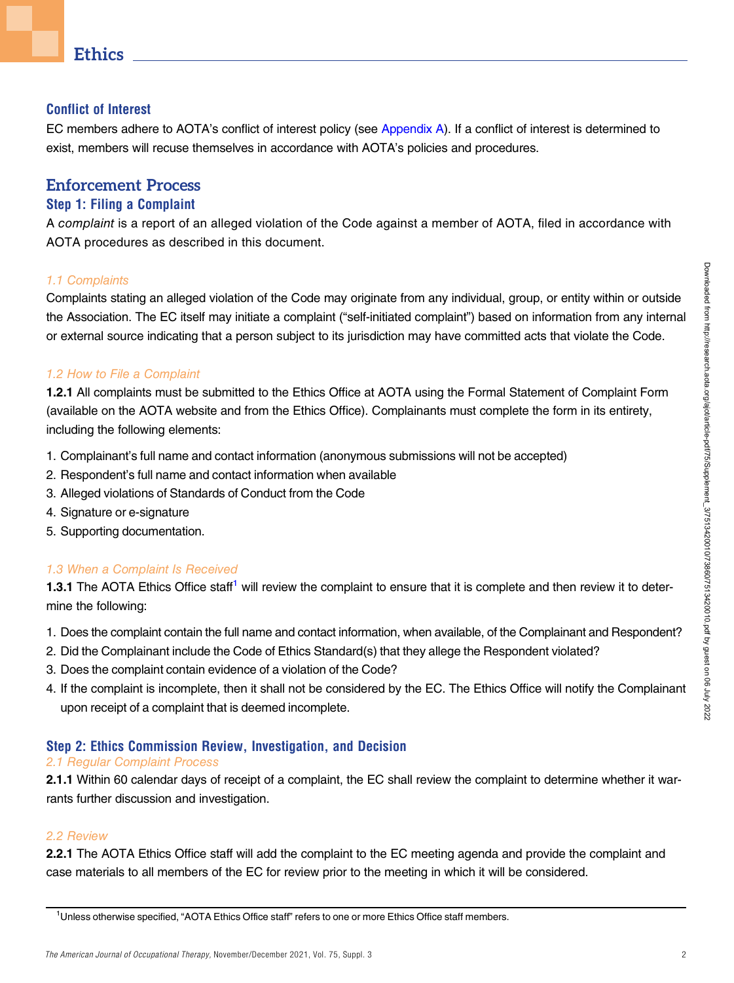# **Ethics**

#### Conflict of Interest

EC members adhere to AOTA's conflict of interest policy (see Appendix A). If a conflict of interest is determined to exist, members will recuse themselves in accordance with AOTA's policies and procedures.

# Enforcement Process

## Step 1: Filing a Complaint

A complaint is a report of an alleged violation of the Code against a member of AOTA, filed in accordance with AOTA procedures as described in this document.

#### 1.1 Complaints

Complaints stating an alleged violation of the Code may originate from any individual, group, or entity within or outside the Association. The EC itself may initiate a complaint ("self-initiated complaint") based on information from any internal or external source indicating that a person subject to its jurisdiction may have committed acts that violate the Code.

#### 1.2 How to File a Complaint

1.2.1 All complaints must be submitted to the Ethics Office at AOTA using the Formal Statement of Complaint Form (available on the AOTA website and from the Ethics Office). Complainants must complete the form in its entirety, including the following elements:

- 1. Complainant's full name and contact information (anonymous submissions will not be accepted)
- 2. Respondent's full name and contact information when available
- 3. Alleged violations of Standards of Conduct from the Code
- 4. Signature or e-signature
- 5. Supporting documentation.

## 1.3 When a Complaint Is Received

**1.3.1** The AOTA Ethics Office staff<sup>1</sup> will review the complaint to ensure that it is complete and then review it to determine the following:

- 1. Does the complaint contain the full name and contact information, when available, of the Complainant and Respondent?
- 2. Did the Complainant include the Code of Ethics Standard(s) that they allege the Respondent violated?
- 3. Does the complaint contain evidence of a violation of the Code?
- 4. If the complaint is incomplete, then it shall not be considered by the EC. The Ethics Office will notify the Complainant upon receipt of a complaint that is deemed incomplete.

## Step 2: Ethics Commission Review, Investigation, and Decision

#### 2.1 Regular Complaint Process

2.1.1 Within 60 calendar days of receipt of a complaint, the EC shall review the complaint to determine whether it warrants further discussion and investigation.

#### 2.2 Review

2.2.1 The AOTA Ethics Office staff will add the complaint to the EC meeting agenda and provide the complaint and case materials to all members of the EC for review prior to the meeting in which it will be considered.

<sup>&</sup>lt;sup>1</sup>Unless otherwise specified, "AOTA Ethics Office staff" refers to one or more Ethics Office staff members.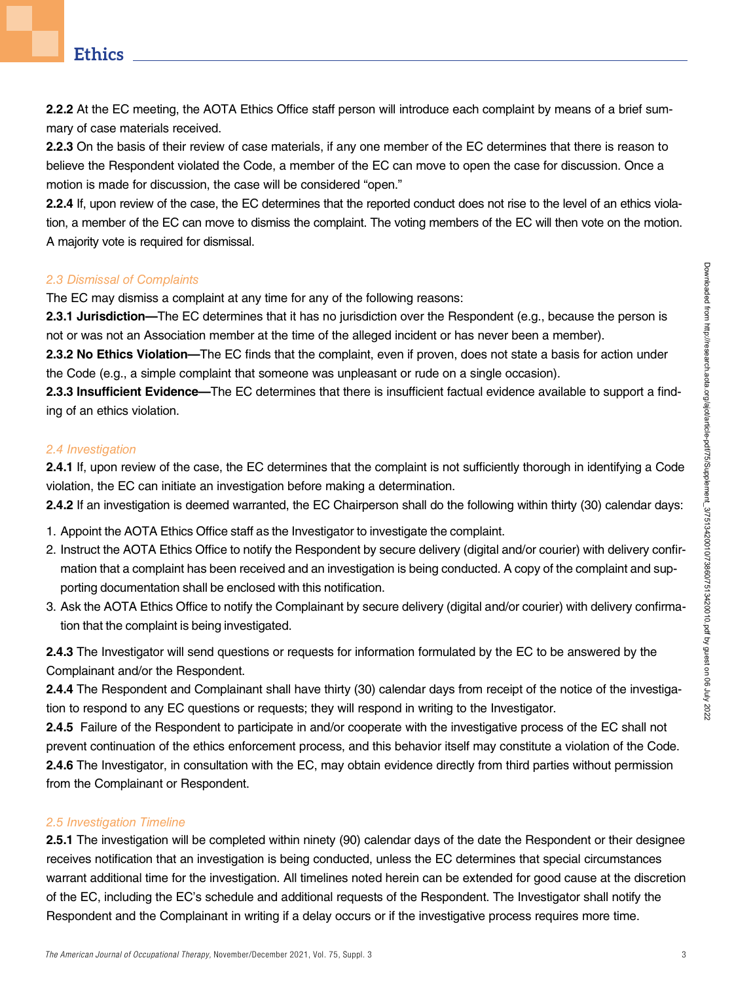2.2.2 At the EC meeting, the AOTA Ethics Office staff person will introduce each complaint by means of a brief summary of case materials received.

2.2.3 On the basis of their review of case materials, if any one member of the EC determines that there is reason to believe the Respondent violated the Code, a member of the EC can move to open the case for discussion. Once a motion is made for discussion, the case will be considered "open."

2.2.4 If, upon review of the case, the EC determines that the reported conduct does not rise to the level of an ethics violation, a member of the EC can move to dismiss the complaint. The voting members of the EC will then vote on the motion. A majority vote is required for dismissal.

#### 2.3 Dismissal of Complaints

The EC may dismiss a complaint at any time for any of the following reasons:

2.3.1 Jurisdiction—The EC determines that it has no jurisdiction over the Respondent (e.g., because the person is not or was not an Association member at the time of the alleged incident or has never been a member).

2.3.2 No Ethics Violation—The EC finds that the complaint, even if proven, does not state a basis for action under the Code (e.g., a simple complaint that someone was unpleasant or rude on a single occasion).

2.3.3 Insufficient Evidence—The EC determines that there is insufficient factual evidence available to support a finding of an ethics violation.

## 2.4 Investigation

2.4.1 If, upon review of the case, the EC determines that the complaint is not sufficiently thorough in identifying a Code violation, the EC can initiate an investigation before making a determination.

2.4.2 If an investigation is deemed warranted, the EC Chairperson shall do the following within thirty (30) calendar days:

- 1. Appoint the AOTA Ethics Office staff as the Investigator to investigate the complaint.
- 2. Instruct the AOTA Ethics Office to notify the Respondent by secure delivery (digital and/or courier) with delivery confirmation that a complaint has been received and an investigation is being conducted. A copy of the complaint and supporting documentation shall be enclosed with this notification.
- 3. Ask the AOTA Ethics Office to notify the Complainant by secure delivery (digital and/or courier) with delivery confirmation that the complaint is being investigated.

2.4.3 The Investigator will send questions or requests for information formulated by the EC to be answered by the Complainant and/or the Respondent.

2.4.4 The Respondent and Complainant shall have thirty (30) calendar days from receipt of the notice of the investigation to respond to any EC questions or requests; they will respond in writing to the Investigator.

2.4.5 Failure of the Respondent to participate in and/or cooperate with the investigative process of the EC shall not prevent continuation of the ethics enforcement process, and this behavior itself may constitute a violation of the Code. 2.4.6 The Investigator, in consultation with the EC, may obtain evidence directly from third parties without permission from the Complainant or Respondent.

## 2.5 Investigation Timeline

2.5.1 The investigation will be completed within ninety (90) calendar days of the date the Respondent or their designee receives notification that an investigation is being conducted, unless the EC determines that special circumstances warrant additional time for the investigation. All timelines noted herein can be extended for good cause at the discretion of the EC, including the EC's schedule and additional requests of the Respondent. The Investigator shall notify the Respondent and the Complainant in writing if a delay occurs or if the investigative process requires more time.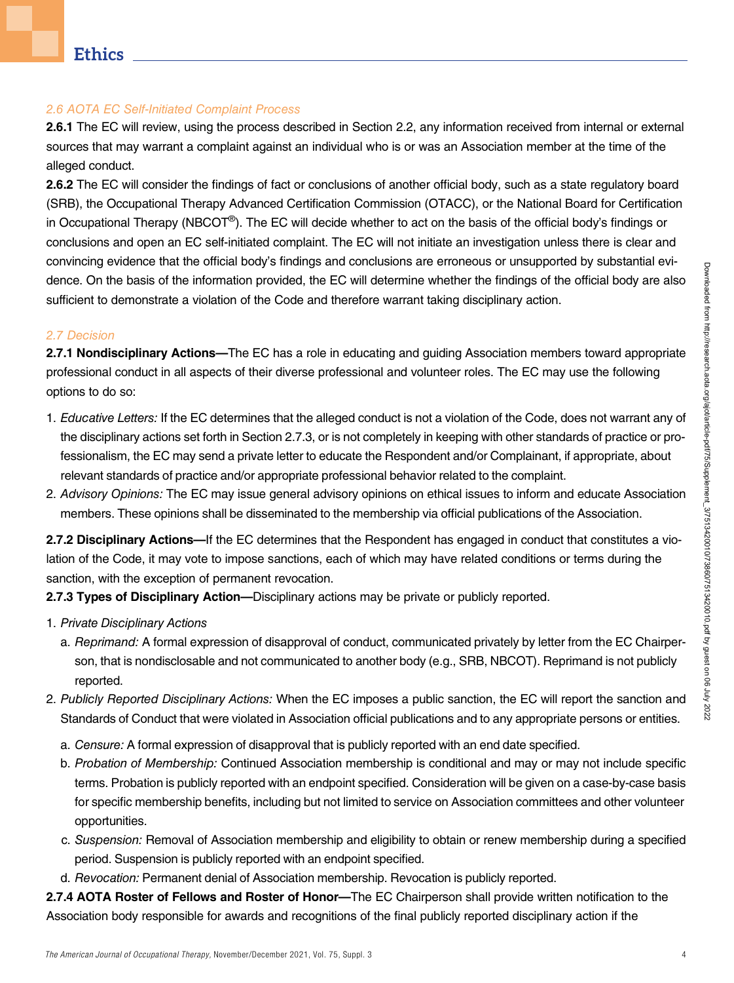#### 2.6 AOTA EC Self-Initiated Complaint Process

2.6.1 The EC will review, using the process described in Section 2.2, any information received from internal or external sources that may warrant a complaint against an individual who is or was an Association member at the time of the alleged conduct.

2.6.2 The EC will consider the findings of fact or conclusions of another official body, such as a state regulatory board (SRB), the Occupational Therapy Advanced Certification Commission (OTACC), or the National Board for Certification in Occupational Therapy (NBCOT®). The EC will decide whether to act on the basis of the official body's findings or conclusions and open an EC self-initiated complaint. The EC will not initiate an investigation unless there is clear and convincing evidence that the official body's findings and conclusions are erroneous or unsupported by substantial evidence. On the basis of the information provided, the EC will determine whether the findings of the official body are also sufficient to demonstrate a violation of the Code and therefore warrant taking disciplinary action.

#### 2.7 Decision

2.7.1 Nondisciplinary Actions—The EC has a role in educating and quiding Association members toward appropriate professional conduct in all aspects of their diverse professional and volunteer roles. The EC may use the following options to do so:

- 1. Educative Letters: If the EC determines that the alleged conduct is not a violation of the Code, does not warrant any of the disciplinary actions set forth in Section 2.7.3, or is not completely in keeping with other standards of practice or professionalism, the EC may send a private letter to educate the Respondent and/or Complainant, if appropriate, about relevant standards of practice and/or appropriate professional behavior related to the complaint.
- 2. Advisory Opinions: The EC may issue general advisory opinions on ethical issues to inform and educate Association members. These opinions shall be disseminated to the membership via official publications of the Association.

2.7.2 Disciplinary Actions—If the EC determines that the Respondent has engaged in conduct that constitutes a violation of the Code, it may vote to impose sanctions, each of which may have related conditions or terms during the sanction, with the exception of permanent revocation.

2.7.3 Types of Disciplinary Action—Disciplinary actions may be private or publicly reported.

- 1. Private Disciplinary Actions
	- a. Reprimand: A formal expression of disapproval of conduct, communicated privately by letter from the EC Chairperson, that is nondisclosable and not communicated to another body (e.g., SRB, NBCOT). Reprimand is not publicly reported.
- 2. Publicly Reported Disciplinary Actions: When the EC imposes a public sanction, the EC will report the sanction and Standards of Conduct that were violated in Association official publications and to any appropriate persons or entities.
	- a. Censure: A formal expression of disapproval that is publicly reported with an end date specified.
	- b. Probation of Membership: Continued Association membership is conditional and may or may not include specific terms. Probation is publicly reported with an endpoint specified. Consideration will be given on a case-by-case basis for specific membership benefits, including but not limited to service on Association committees and other volunteer opportunities.
	- c. Suspension: Removal of Association membership and eligibility to obtain or renew membership during a specified period. Suspension is publicly reported with an endpoint specified.
	- d. Revocation: Permanent denial of Association membership. Revocation is publicly reported.

2.7.4 AOTA Roster of Fellows and Roster of Honor-The EC Chairperson shall provide written notification to the Association body responsible for awards and recognitions of the final publicly reported disciplinary action if the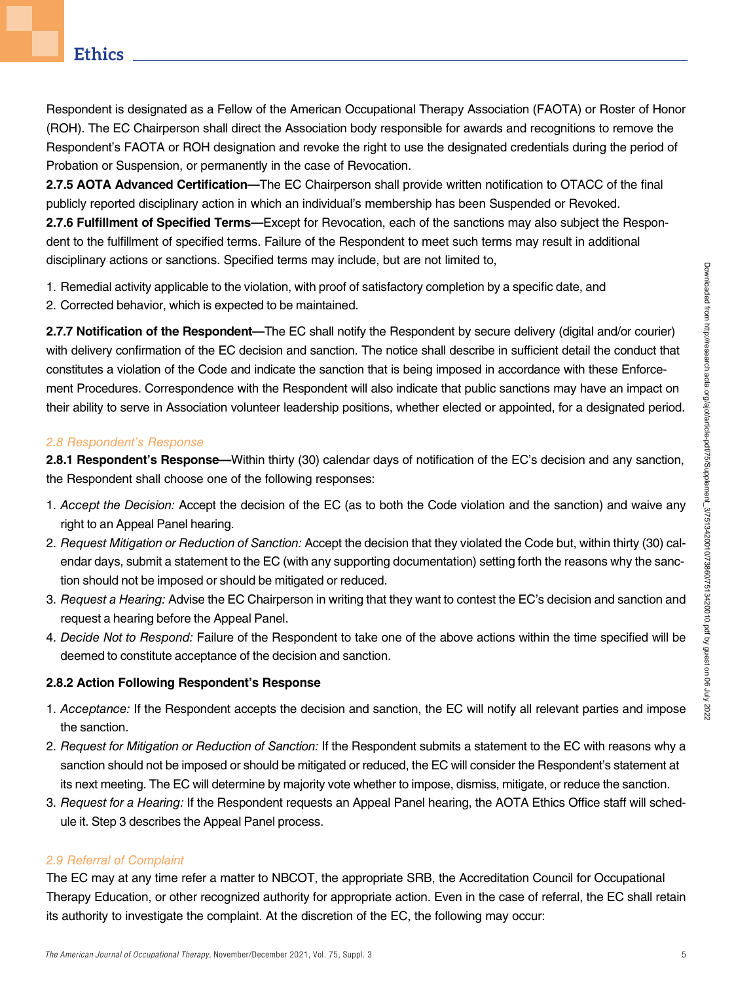Respondent is designated as a Fellow of the American Occupational Therapy Association (FAOTA) or Roster of Honor (ROH). The EC Chairperson shall direct the Association body responsible for awards and recognitions to remove the Respondent's FAOTA or ROH designation and revoke the right to use the designated credentials during the period of Probation or Suspension, or permanently in the case of Revocation.

2.7.5 AOTA Advanced Certification—The EC Chairperson shall provide written notification to OTACC of the final publicly reported disciplinary action in which an individual's membership has been Suspended or Revoked. 2.7.6 Fulfillment of Specified Terms—Except for Revocation, each of the sanctions may also subject the Respondent to the fulfillment of specified terms. Failure of the Respondent to meet such terms may result in additional disciplinary actions or sanctions. Specified terms may include, but are not limited to,

1. Remedial activity applicable to the violation, with proof of satisfactory completion by a specific date, and

2. Corrected behavior, which is expected to be maintained.

2.7.7 Notification of the Respondent—The EC shall notify the Respondent by secure delivery (digital and/or courier) with delivery confirmation of the EC decision and sanction. The notice shall describe in sufficient detail the conduct that constitutes a violation of the Code and indicate the sanction that is being imposed in accordance with these Enforcement Procedures. Correspondence with the Respondent will also indicate that public sanctions may have an impact on their ability to serve in Association volunteer leadership positions, whether elected or appointed, for a designated period.

# 2.8 Respondent's Response

2.8.1 Respondent's Response—Within thirty (30) calendar days of notification of the EC's decision and any sanction, the Respondent shall choose one of the following responses:

- 1. Accept the Decision: Accept the decision of the EC (as to both the Code violation and the sanction) and waive any right to an Appeal Panel hearing.
- 2. Request Mitigation or Reduction of Sanction: Accept the decision that they violated the Code but, within thirty (30) calendar days, submit a statement to the EC (with any supporting documentation) setting forth the reasons why the sanction should not be imposed or should be mitigated or reduced.
- 3. Request a Hearing: Advise the EC Chairperson in writing that they want to contest the EC's decision and sanction and request a hearing before the Appeal Panel.
- 4. Decide Not to Respond: Failure of the Respondent to take one of the above actions within the time specified will be deemed to constitute acceptance of the decision and sanction.

## 2.8.2 Action Following Respondent's Response

- 1. Acceptance: If the Respondent accepts the decision and sanction, the EC will notify all relevant parties and impose the sanction.
- 2. Request for Mitigation or Reduction of Sanction: If the Respondent submits a statement to the EC with reasons why a sanction should not be imposed or should be mitigated or reduced, the EC will consider the Respondent's statement at its next meeting. The EC will determine by majority vote whether to impose, dismiss, mitigate, or reduce the sanction.
- 3. Request for a Hearing: If the Respondent requests an Appeal Panel hearing, the AOTA Ethics Office staff will schedule it. Step 3 describes the Appeal Panel process.

# 2.9 Referral of Complaint

The EC may at any time refer a matter to NBCOT, the appropriate SRB, the Accreditation Council for Occupational Therapy Education, or other recognized authority for appropriate action. Even in the case of referral, the EC shall retain its authority to investigate the complaint. At the discretion of the EC, the following may occur: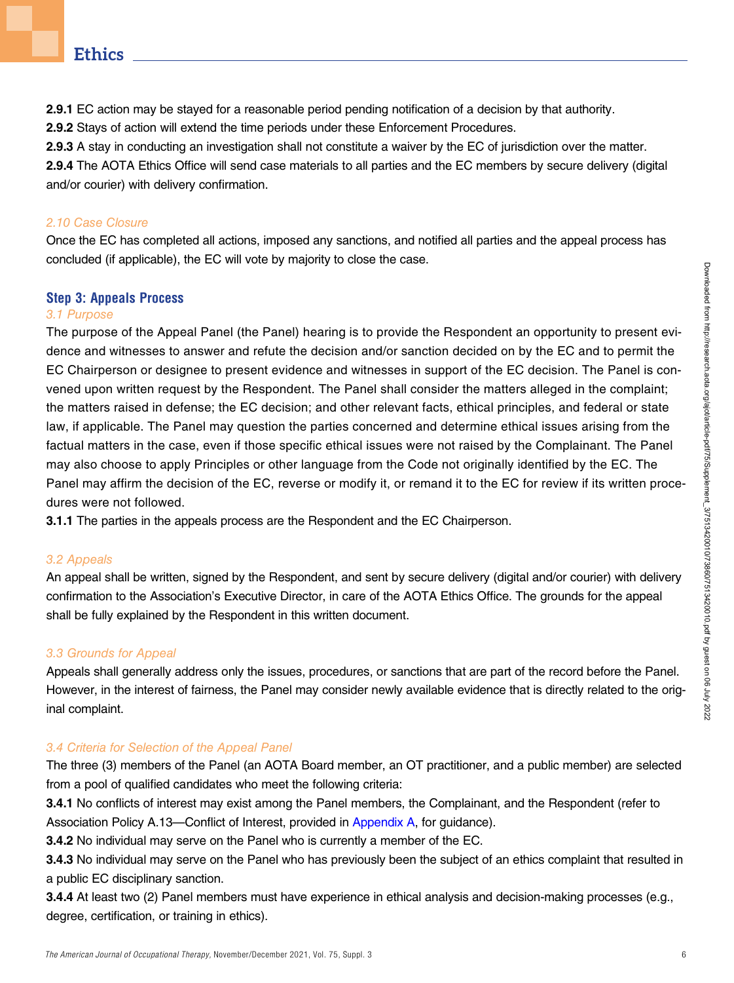2.9.1 EC action may be stayed for a reasonable period pending notification of a decision by that authority.

2.9.2 Stays of action will extend the time periods under these Enforcement Procedures.

2.9.3 A stay in conducting an investigation shall not constitute a waiver by the EC of jurisdiction over the matter.

2.9.4 The AOTA Ethics Office will send case materials to all parties and the EC members by secure delivery (digital and/or courier) with delivery confirmation.

# 2.10 Case Closure

Once the EC has completed all actions, imposed any sanctions, and notified all parties and the appeal process has concluded (if applicable), the EC will vote by majority to close the case.

# Step 3: Appeals Process

## 3.1 Purpose

The purpose of the Appeal Panel (the Panel) hearing is to provide the Respondent an opportunity to present evidence and witnesses to answer and refute the decision and/or sanction decided on by the EC and to permit the EC Chairperson or designee to present evidence and witnesses in support of the EC decision. The Panel is convened upon written request by the Respondent. The Panel shall consider the matters alleged in the complaint; the matters raised in defense; the EC decision; and other relevant facts, ethical principles, and federal or state law, if applicable. The Panel may question the parties concerned and determine ethical issues arising from the factual matters in the case, even if those specific ethical issues were not raised by the Complainant. The Panel may also choose to apply Principles or other language from the Code not originally identified by the EC. The Panel may affirm the decision of the EC, reverse or modify it, or remand it to the EC for review if its written procedures were not followed.

3.1.1 The parties in the appeals process are the Respondent and the EC Chairperson.

## 3.2 Appeals

An appeal shall be written, signed by the Respondent, and sent by secure delivery (digital and/or courier) with delivery confirmation to the Association's Executive Director, in care of the AOTA Ethics Office. The grounds for the appeal shall be fully explained by the Respondent in this written document.

# 3.3 Grounds for Appeal

Appeals shall generally address only the issues, procedures, or sanctions that are part of the record before the Panel. However, in the interest of fairness, the Panel may consider newly available evidence that is directly related to the original complaint.

## 3.4 Criteria for Selection of the Appeal Panel

The three (3) members of the Panel (an AOTA Board member, an OT practitioner, and a public member) are selected from a pool of qualified candidates who meet the following criteria:

3.4.1 No conflicts of interest may exist among the Panel members, the Complainant, and the Respondent (refer to Association Policy A.13—Conflict of Interest, provided in Appendix A, for guidance).

3.4.2 No individual may serve on the Panel who is currently a member of the EC.

3.4.3 No individual may serve on the Panel who has previously been the subject of an ethics complaint that resulted in a public EC disciplinary sanction.

3.4.4 At least two (2) Panel members must have experience in ethical analysis and decision-making processes (e.g., degree, certification, or training in ethics).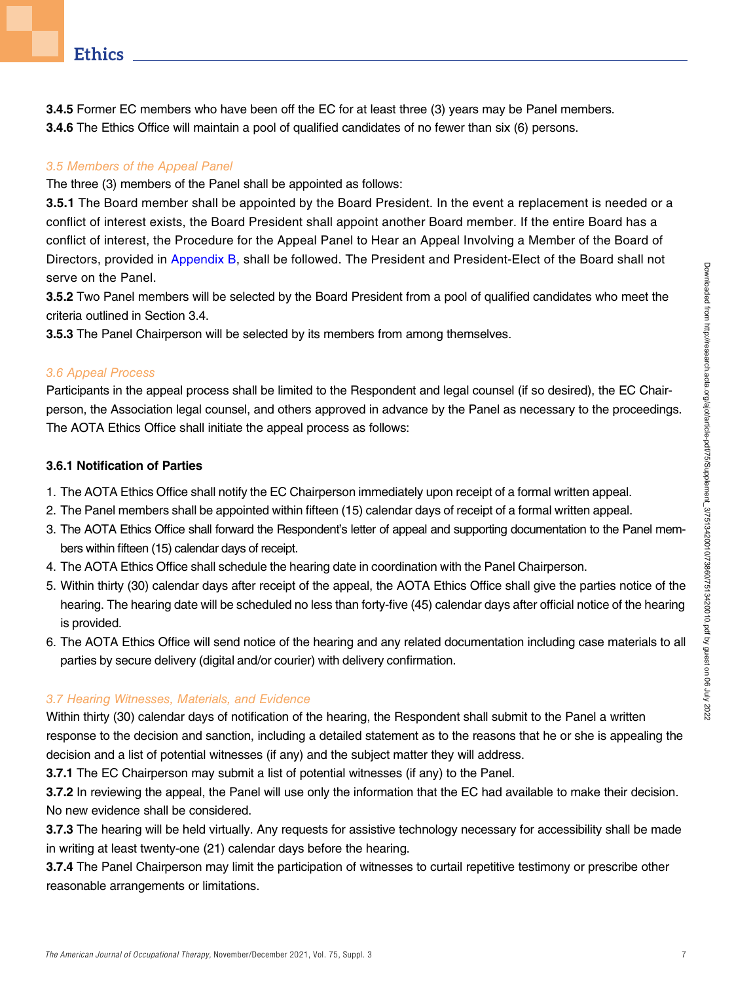**3.4.5** Former EC members who have been off the EC for at least three (3) years may be Panel members. 3.4.6 The Ethics Office will maintain a pool of qualified candidates of no fewer than six (6) persons.

# 3.5 Members of the Appeal Panel

The three (3) members of the Panel shall be appointed as follows:

3.5.1 The Board member shall be appointed by the Board President. In the event a replacement is needed or a conflict of interest exists, the Board President shall appoint another Board member. If the entire Board has a conflict of interest, the Procedure for the Appeal Panel to Hear an Appeal Involving a Member of the Board of Directors, provided in Appendix B, shall be followed. The President and President-Elect of the Board shall not serve on the Panel.

3.5.2 Two Panel members will be selected by the Board President from a pool of qualified candidates who meet the criteria outlined in Section 3.4.

3.5.3 The Panel Chairperson will be selected by its members from among themselves.

## 3.6 Appeal Process

Participants in the appeal process shall be limited to the Respondent and legal counsel (if so desired), the EC Chairperson, the Association legal counsel, and others approved in advance by the Panel as necessary to the proceedings. The AOTA Ethics Office shall initiate the appeal process as follows:

# 3.6.1 Notification of Parties

- 1. The AOTA Ethics Office shall notify the EC Chairperson immediately upon receipt of a formal written appeal.
- 2. The Panel members shall be appointed within fifteen (15) calendar days of receipt of a formal written appeal.
- 3. The AOTA Ethics Office shall forward the Respondent's letter of appeal and supporting documentation to the Panel members within fifteen (15) calendar days of receipt.
- 4. The AOTA Ethics Office shall schedule the hearing date in coordination with the Panel Chairperson.
- 5. Within thirty (30) calendar days after receipt of the appeal, the AOTA Ethics Office shall give the parties notice of the hearing. The hearing date will be scheduled no less than forty-five (45) calendar days after official notice of the hearing is provided.
- 6. The AOTA Ethics Office will send notice of the hearing and any related documentation including case materials to all parties by secure delivery (digital and/or courier) with delivery confirmation.

# 3.7 Hearing Witnesses, Materials, and Evidence

Within thirty (30) calendar days of notification of the hearing, the Respondent shall submit to the Panel a written response to the decision and sanction, including a detailed statement as to the reasons that he or she is appealing the decision and a list of potential witnesses (if any) and the subject matter they will address.

3.7.1 The EC Chairperson may submit a list of potential witnesses (if any) to the Panel.

3.7.2 In reviewing the appeal, the Panel will use only the information that the EC had available to make their decision. No new evidence shall be considered.

3.7.3 The hearing will be held virtually. Any requests for assistive technology necessary for accessibility shall be made in writing at least twenty-one (21) calendar days before the hearing.

3.7.4 The Panel Chairperson may limit the participation of witnesses to curtail repetitive testimony or prescribe other reasonable arrangements or limitations.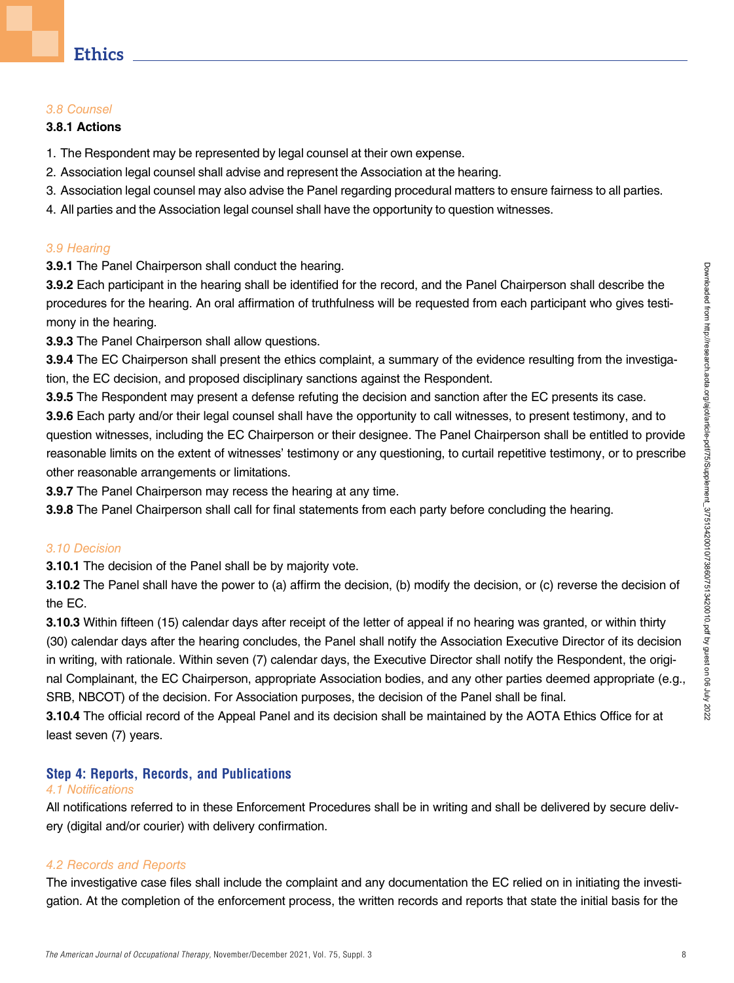#### 3.8 Counsel

#### 3.8.1 Actions

- 1. The Respondent may be represented by legal counsel at their own expense.
- 2. Association legal counsel shall advise and represent the Association at the hearing.
- 3. Association legal counsel may also advise the Panel regarding procedural matters to ensure fairness to all parties.
- 4. All parties and the Association legal counsel shall have the opportunity to question witnesses.

#### 3.9 Hearing

3.9.1 The Panel Chairperson shall conduct the hearing.

3.9.2 Each participant in the hearing shall be identified for the record, and the Panel Chairperson shall describe the procedures for the hearing. An oral affirmation of truthfulness will be requested from each participant who gives testimony in the hearing.

3.9.3 The Panel Chairperson shall allow questions.

3.9.4 The EC Chairperson shall present the ethics complaint, a summary of the evidence resulting from the investigation, the EC decision, and proposed disciplinary sanctions against the Respondent.

3.9.5 The Respondent may present a defense refuting the decision and sanction after the EC presents its case.

3.9.6 Each party and/or their legal counsel shall have the opportunity to call witnesses, to present testimony, and to question witnesses, including the EC Chairperson or their designee. The Panel Chairperson shall be entitled to provide reasonable limits on the extent of witnesses' testimony or any questioning, to curtail repetitive testimony, or to prescribe other reasonable arrangements or limitations.

**3.9.7** The Panel Chairperson may recess the hearing at any time.

**3.9.8** The Panel Chairperson shall call for final statements from each party before concluding the hearing.

#### 3.10 Decision

3.10.1 The decision of the Panel shall be by majority vote.

3.10.2 The Panel shall have the power to (a) affirm the decision, (b) modify the decision, or (c) reverse the decision of the EC.

3.10.3 Within fifteen (15) calendar days after receipt of the letter of appeal if no hearing was granted, or within thirty (30) calendar days after the hearing concludes, the Panel shall notify the Association Executive Director of its decision in writing, with rationale. Within seven (7) calendar days, the Executive Director shall notify the Respondent, the original Complainant, the EC Chairperson, appropriate Association bodies, and any other parties deemed appropriate (e.g., SRB, NBCOT) of the decision. For Association purposes, the decision of the Panel shall be final.

3.10.4 The official record of the Appeal Panel and its decision shall be maintained by the AOTA Ethics Office for at least seven (7) years.

# Step 4: Reports, Records, and Publications

#### 4.1 Notifications

All notifications referred to in these Enforcement Procedures shall be in writing and shall be delivered by secure delivery (digital and/or courier) with delivery confirmation.

#### 4.2 Records and Reports

The investigative case files shall include the complaint and any documentation the EC relied on in initiating the investigation. At the completion of the enforcement process, the written records and reports that state the initial basis for the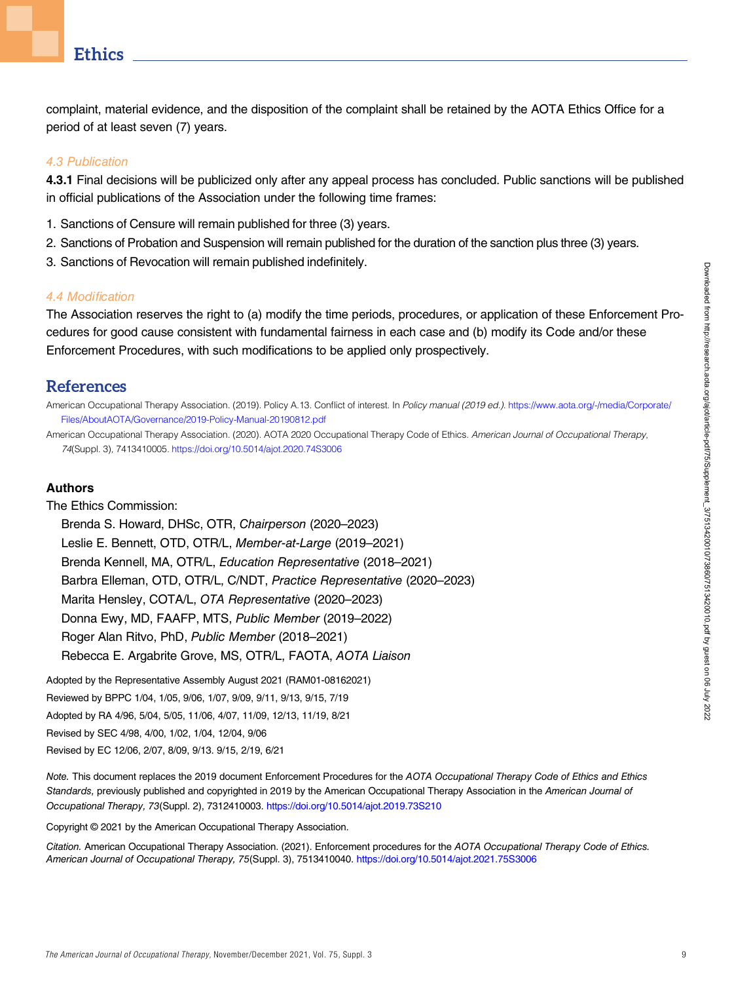complaint, material evidence, and the disposition of the complaint shall be retained by the AOTA Ethics Office for a period of at least seven (7) years.

#### 4.3 Publication

4.3.1 Final decisions will be publicized only after any appeal process has concluded. Public sanctions will be published in official publications of the Association under the following time frames:

- 1. Sanctions of Censure will remain published for three (3) years.
- 2. Sanctions of Probation and Suspension will remain published for the duration of the sanction plus three (3) years.
- 3. Sanctions of Revocation will remain published indefinitely.

#### 4.4 Modification

The Association reserves the right to (a) modify the time periods, procedures, or application of these Enforcement Procedures for good cause consistent with fundamental fairness in each case and (b) modify its Code and/or these Enforcement Procedures, with such modifications to be applied only prospectively.

## **References**

American Occupational Therapy Association. (2019). Policy A.13. Conflict of interest. In Policy manual (2019 ed.). [https://www.aota.org/-/media/Corporate/](https://www.aota.org/-/media/Corporate/Files/AboutAOTA/Governance/2019-Policy-Manual-20190812.pdf) [Files/AboutAOTA/Governance/2019-Policy-Manual-20190812.pdf](https://www.aota.org/-/media/Corporate/Files/AboutAOTA/Governance/2019-Policy-Manual-20190812.pdf)

American Occupational Therapy Association. (2020). AOTA 2020 Occupational Therapy Code of Ethics. American Journal of Occupational Therapy, 74(Suppl. 3), 7413410005. <https://doi.org/10.5014/ajot.2020.74S3006>

#### Authors

#### The Ethics Commission:

Brenda S. Howard, DHSc, OTR, Chairperson (2020–2023) Leslie E. Bennett, OTD, OTR/L, Member-at-Large (2019–2021) Brenda Kennell, MA, OTR/L, Education Representative (2018–2021) Barbra Elleman, OTD, OTR/L, C/NDT, Practice Representative (2020–2023) Marita Hensley, COTA/L, OTA Representative (2020–2023) Donna Ewy, MD, FAAFP, MTS, Public Member (2019–2022) Roger Alan Ritvo, PhD, Public Member (2018–2021) Rebecca E. Argabrite Grove, MS, OTR/L, FAOTA, AOTA Liaison

Adopted by the Representative Assembly August 2021 (RAM01-08162021)

Reviewed by BPPC 1/04, 1/05, 9/06, 1/07, 9/09, 9/11, 9/13, 9/15, 7/19

Adopted by RA 4/96, 5/04, 5/05, 11/06, 4/07, 11/09, 12/13, 11/19, 8/21

Revised by SEC 4/98, 4/00, 1/02, 1/04, 12/04, 9/06

Revised by EC 12/06, 2/07, 8/09, 9/13. 9/15, 2/19, 6/21

Note. This document replaces the 2019 document Enforcement Procedures for the AOTA Occupational Therapy Code of Ethics and Ethics Standards, previously published and copyrighted in 2019 by the American Occupational Therapy Association in the American Journal of Occupational Therapy, 73(Suppl. 2), 7312410003. <https://doi.org/10.5014/ajot.2019.73S210>

Copyright © 2021 by the American Occupational Therapy Association.

Citation. American Occupational Therapy Association. (2021). Enforcement procedures for the AOTA Occupational Therapy Code of Ethics. American Journal of Occupational Therapy, 75(Suppl. 3), 7513410040. <https://doi.org/10.5014/ajot.2021.75S3006>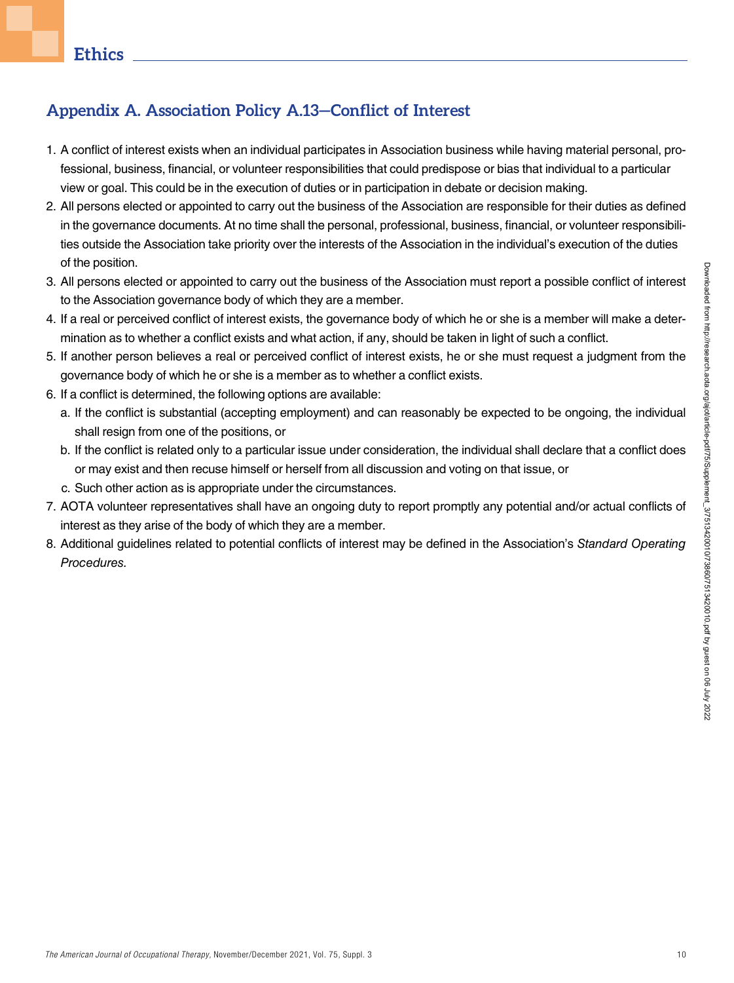# Appendix A. Association Policy A.13—Conflict of Interest

- 1. A conflict of interest exists when an individual participates in Association business while having material personal, professional, business, financial, or volunteer responsibilities that could predispose or bias that individual to a particular view or goal. This could be in the execution of duties or in participation in debate or decision making.
- 2. All persons elected or appointed to carry out the business of the Association are responsible for their duties as defined in the governance documents. At no time shall the personal, professional, business, financial, or volunteer responsibilities outside the Association take priority over the interests of the Association in the individual's execution of the duties of the position.
- 3. All persons elected or appointed to carry out the business of the Association must report a possible conflict of interest to the Association governance body of which they are a member.
- 4. If a real or perceived conflict of interest exists, the governance body of which he or she is a member will make a determination as to whether a conflict exists and what action, if any, should be taken in light of such a conflict.
- 5. If another person believes a real or perceived conflict of interest exists, he or she must request a judgment from the governance body of which he or she is a member as to whether a conflict exists.
- 6. If a conflict is determined, the following options are available:
	- a. If the conflict is substantial (accepting employment) and can reasonably be expected to be ongoing, the individual shall resign from one of the positions, or
	- b. If the conflict is related only to a particular issue under consideration, the individual shall declare that a conflict does or may exist and then recuse himself or herself from all discussion and voting on that issue, or
	- c. Such other action as is appropriate under the circumstances.
- 7. AOTA volunteer representatives shall have an ongoing duty to report promptly any potential and/or actual conflicts of interest as they arise of the body of which they are a member.
- 8. Additional guidelines related to potential conflicts of interest may be defined in the Association's Standard Operating Procedures.